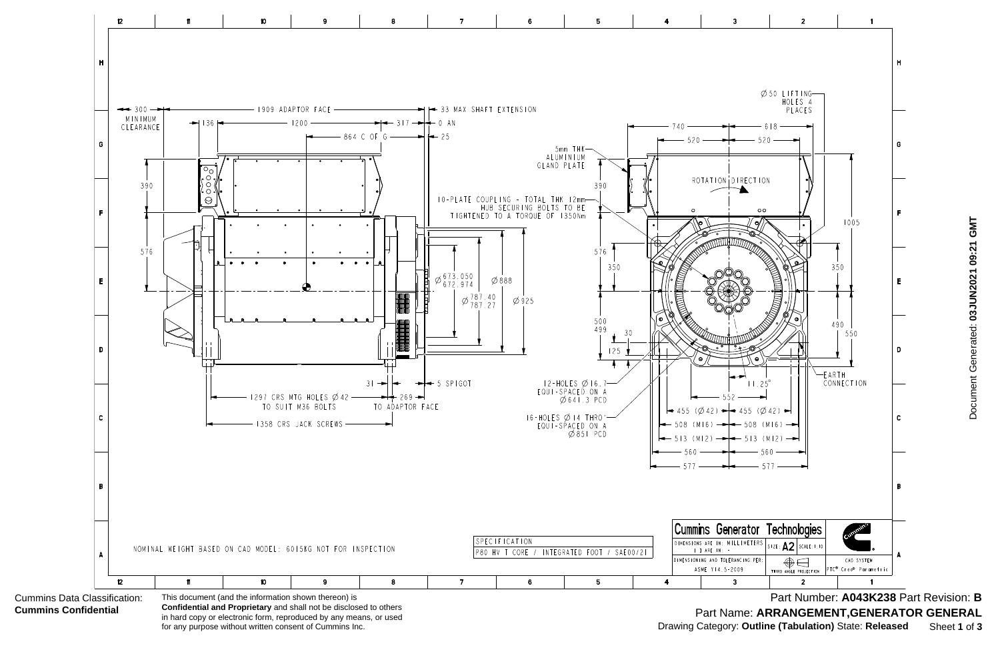

in hard copy or electronic form, reproduced by any means, or used for any purpose without written consent of Cummins Inc.

Part Number: **A043K238** Part Revision: **B** Part Name: **ARRANGEMENT,GENERATOR GENERAL** Drawing Category: **Outline (Tabulation)** State: **Released** Sheet **1** of **3**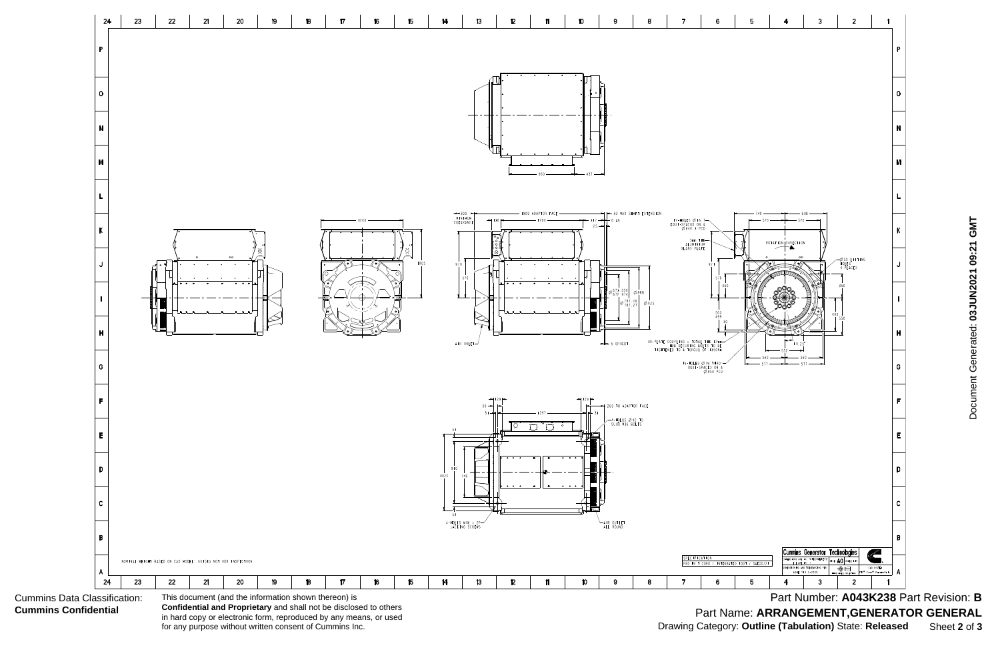Cummins Data Classification: **Cummins Confidential**



**Confidential and Proprietary** and shall not be disclosed to others in hard copy or electronic form, reproduced by any means, or used for any purpose without written consent of Cummins Inc.

Part Number: **A043K238** Part Revision: **B** Part Name: **ARRANGEMENT,GENERATOR GENERAL** Drawing Category: **Outline (Tabulation)** State: **Released** Sheet **2** of **3**